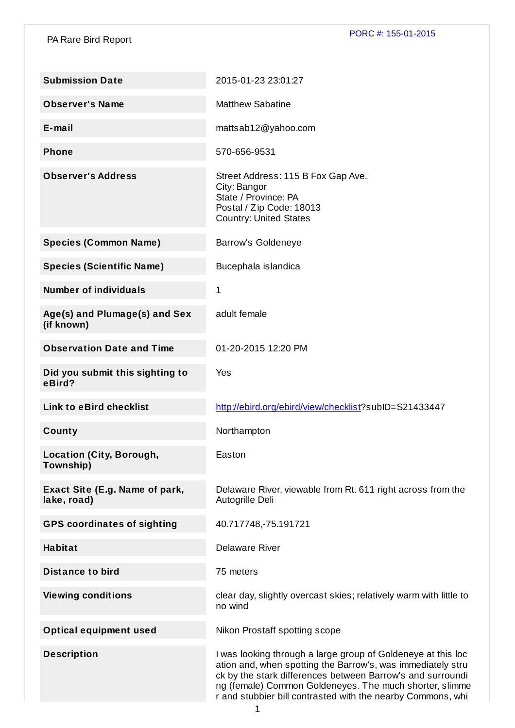PA Rare Bird Report

| <b>Submission Date</b>                        | 2015-01-23 23:01:27                                                                                                                                                                                                                                                                                                 |
|-----------------------------------------------|---------------------------------------------------------------------------------------------------------------------------------------------------------------------------------------------------------------------------------------------------------------------------------------------------------------------|
| <b>Observer's Name</b>                        | <b>Matthew Sabatine</b>                                                                                                                                                                                                                                                                                             |
| $E$ -mail                                     | mattsab12@yahoo.com                                                                                                                                                                                                                                                                                                 |
| <b>Phone</b>                                  | 570-656-9531                                                                                                                                                                                                                                                                                                        |
| <b>Observer's Address</b>                     | Street Address: 115 B Fox Gap Ave.<br>City: Bangor<br>State / Province: PA<br>Postal / Zip Code: 18013<br><b>Country: United States</b>                                                                                                                                                                             |
| <b>Species (Common Name)</b>                  | <b>Barrow's Goldeneye</b>                                                                                                                                                                                                                                                                                           |
| <b>Species (Scientific Name)</b>              | Bucephala islandica                                                                                                                                                                                                                                                                                                 |
| <b>Number of individuals</b>                  | 1                                                                                                                                                                                                                                                                                                                   |
| Age(s) and Plumage(s) and Sex<br>(if known)   | adult female                                                                                                                                                                                                                                                                                                        |
| <b>Observation Date and Time</b>              | 01-20-2015 12:20 PM                                                                                                                                                                                                                                                                                                 |
| Did you submit this sighting to<br>eBird?     | Yes                                                                                                                                                                                                                                                                                                                 |
| <b>Link to eBird checklist</b>                | http://ebird.org/ebird/view/checklist?subID=S21433447                                                                                                                                                                                                                                                               |
| County                                        | Northampton                                                                                                                                                                                                                                                                                                         |
| <b>Location (City, Borough,</b><br>Township)  | Easton                                                                                                                                                                                                                                                                                                              |
| Exact Site (E.g. Name of park,<br>lake, road) | Delaware River, viewable from Rt. 611 right across from the<br>Autogrille Deli                                                                                                                                                                                                                                      |
| <b>GPS coordinates of sighting</b>            | 40.717748,-75.191721                                                                                                                                                                                                                                                                                                |
| <b>Habitat</b>                                | <b>Delaware River</b>                                                                                                                                                                                                                                                                                               |
| <b>Distance to bird</b>                       | 75 meters                                                                                                                                                                                                                                                                                                           |
| <b>Viewing conditions</b>                     | clear day, slightly overcast skies; relatively warm with little to<br>no wind                                                                                                                                                                                                                                       |
| <b>Optical equipment used</b>                 | Nikon Prostaff spotting scope                                                                                                                                                                                                                                                                                       |
| <b>Description</b>                            | I was looking through a large group of Goldeneye at this loc<br>ation and, when spotting the Barrow's, was immediately stru<br>ck by the stark differences between Barrow's and surroundi<br>ng (female) Common Goldeneyes. The much shorter, slimme<br>r and stubbier bill contrasted with the nearby Commons, whi |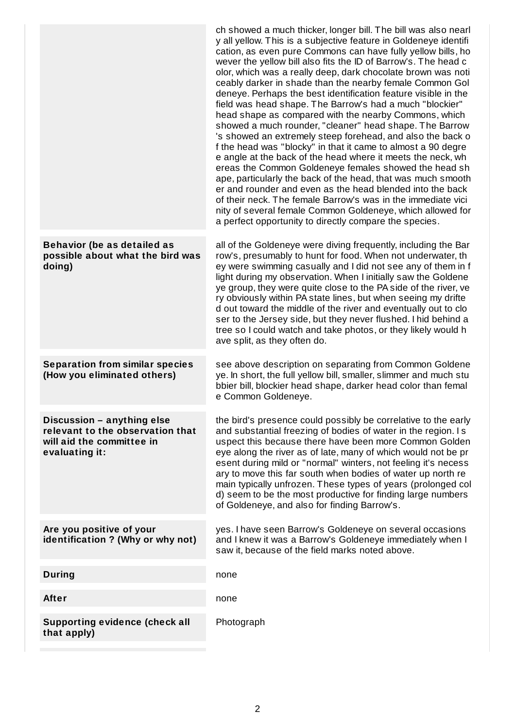|                                                                                                               | ch showed a much thicker, longer bill. The bill was also nearl<br>y all yellow. This is a subjective feature in Goldeneye identifi<br>cation, as even pure Commons can have fully yellow bills, ho<br>wever the yellow bill also fits the ID of Barrow's. The head c<br>olor, which was a really deep, dark chocolate brown was noti<br>ceably darker in shade than the nearby female Common Gol<br>deneye. Perhaps the best identification feature visible in the<br>field was head shape. The Barrow's had a much "blockier"<br>head shape as compared with the nearby Commons, which<br>showed a much rounder, "cleaner" head shape. The Barrow<br>'s showed an extremely steep forehead, and also the back o<br>f the head was "blocky" in that it came to almost a 90 degre<br>e angle at the back of the head where it meets the neck, wh<br>ereas the Common Goldeneye females showed the head sh<br>ape, particularly the back of the head, that was much smooth<br>er and rounder and even as the head blended into the back<br>of their neck. The female Barrow's was in the immediate vici<br>nity of several female Common Goldeneye, which allowed for<br>a perfect opportunity to directly compare the species. |
|---------------------------------------------------------------------------------------------------------------|-------------------------------------------------------------------------------------------------------------------------------------------------------------------------------------------------------------------------------------------------------------------------------------------------------------------------------------------------------------------------------------------------------------------------------------------------------------------------------------------------------------------------------------------------------------------------------------------------------------------------------------------------------------------------------------------------------------------------------------------------------------------------------------------------------------------------------------------------------------------------------------------------------------------------------------------------------------------------------------------------------------------------------------------------------------------------------------------------------------------------------------------------------------------------------------------------------------------------------|
| <b>Behavior (be as detailed as</b><br>possible about what the bird was<br>doing)                              | all of the Goldeneye were diving frequently, including the Bar<br>row's, presumably to hunt for food. When not underwater, th<br>ey were swimming casually and I did not see any of them in f<br>light during my observation. When I initially saw the Goldene<br>ye group, they were quite close to the PA side of the river, ve<br>ry obviously within PA state lines, but when seeing my drifte<br>d out toward the middle of the river and eventually out to clo<br>ser to the Jersey side, but they never flushed. I hid behind a<br>tree so I could watch and take photos, or they likely would h<br>ave split, as they often do.                                                                                                                                                                                                                                                                                                                                                                                                                                                                                                                                                                                       |
| <b>Separation from similar species</b><br>(How you eliminated others)                                         | see above description on separating from Common Goldene<br>ye. In short, the full yellow bill, smaller, slimmer and much stu<br>bbier bill, blockier head shape, darker head color than femal<br>e Common Goldeneye.                                                                                                                                                                                                                                                                                                                                                                                                                                                                                                                                                                                                                                                                                                                                                                                                                                                                                                                                                                                                          |
| Discussion - anything else<br>relevant to the observation that<br>will aid the committee in<br>evaluating it: | the bird's presence could possibly be correlative to the early<br>and substantial freezing of bodies of water in the region. I s<br>uspect this because there have been more Common Golden<br>eye along the river as of late, many of which would not be pr<br>esent during mild or "normal" winters, not feeling it's necess<br>ary to move this far south when bodies of water up north re<br>main typically unfrozen. These types of years (prolonged col<br>d) seem to be the most productive for finding large numbers<br>of Goldeneye, and also for finding Barrow's.                                                                                                                                                                                                                                                                                                                                                                                                                                                                                                                                                                                                                                                   |
| Are you positive of your<br>identification ? (Why or why not)                                                 | yes. I have seen Barrow's Goldeneye on several occasions<br>and I knew it was a Barrow's Goldeneye immediately when I<br>saw it, because of the field marks noted above.                                                                                                                                                                                                                                                                                                                                                                                                                                                                                                                                                                                                                                                                                                                                                                                                                                                                                                                                                                                                                                                      |
| <b>During</b>                                                                                                 | none                                                                                                                                                                                                                                                                                                                                                                                                                                                                                                                                                                                                                                                                                                                                                                                                                                                                                                                                                                                                                                                                                                                                                                                                                          |
| After                                                                                                         | none                                                                                                                                                                                                                                                                                                                                                                                                                                                                                                                                                                                                                                                                                                                                                                                                                                                                                                                                                                                                                                                                                                                                                                                                                          |
| <b>Supporting evidence (check all</b><br>that apply)                                                          | Photograph                                                                                                                                                                                                                                                                                                                                                                                                                                                                                                                                                                                                                                                                                                                                                                                                                                                                                                                                                                                                                                                                                                                                                                                                                    |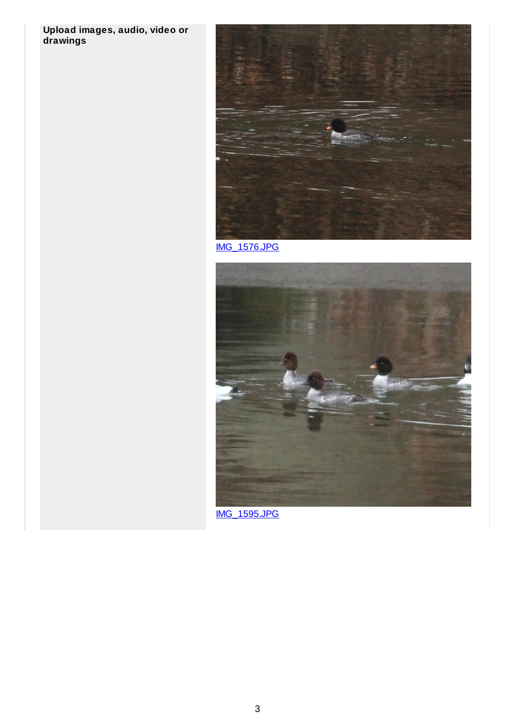## **Upload images, audio, video or drawings**



[IMG\\_1576.JPG](http://www.jotform.com/uploads/porcforms/22068006649151/297881330881205419/IMG_1576.JPG)